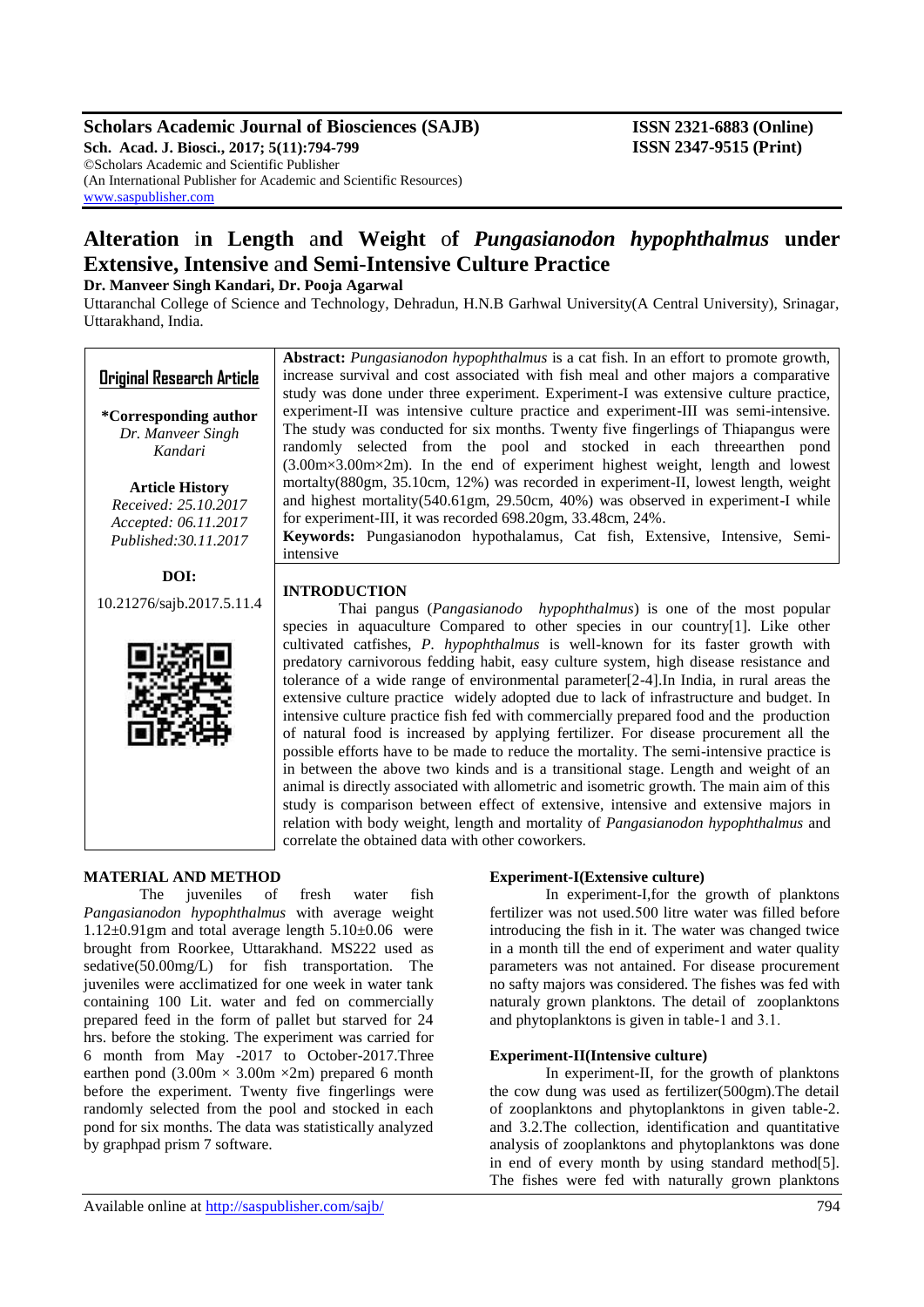## **Scholars Academic Journal of Biosciences (SAJB) ISSN 2321-6883 (Online)**

**Sch. Acad. J. Biosci., 2017; 5(11):794-799 ISSN 2347-9515 (Print)** ©Scholars Academic and Scientific Publisher (An International Publisher for Academic and Scientific Resources) [www.saspublisher.com](http://www.saspublisher.com/)

# **Alteration** i**n Length** a**nd Weight** o**f** *Pungasianodon hypophthalmus* **under Extensive, Intensive** a**nd Semi-Intensive Culture Practice**

## **Dr. Manveer Singh Kandari, Dr. Pooja Agarwal**

Uttaranchal College of Science and Technology, Dehradun, H.N.B Garhwal University(A Central University), Srinagar, Uttarakhand, India.

| <b>Original Research Article</b><br>*Corresponding author<br>Dr. Manveer Singh<br>Kandari       | Abstract: Pungasianodon hypophthalmus is a cat fish. In an effort to promote growth,<br>increase survival and cost associated with fish meal and other majors a comparative<br>study was done under three experiment. Experiment-I was extensive culture practice,<br>experiment-II was intensive culture practice and experiment-III was semi-intensive.<br>The study was conducted for six months. Twenty five fingerlings of Thiapangus were<br>randomly selected from the pool and stocked in each threearthen pond<br>$(3.00 \text{m} \times 3.00 \text{m} \times 2 \text{m})$ . In the end of experiment highest weight, length and lowest                                                                                                                                                                                                                                                                                                                                                                                                                           |  |  |  |  |  |  |  |
|-------------------------------------------------------------------------------------------------|----------------------------------------------------------------------------------------------------------------------------------------------------------------------------------------------------------------------------------------------------------------------------------------------------------------------------------------------------------------------------------------------------------------------------------------------------------------------------------------------------------------------------------------------------------------------------------------------------------------------------------------------------------------------------------------------------------------------------------------------------------------------------------------------------------------------------------------------------------------------------------------------------------------------------------------------------------------------------------------------------------------------------------------------------------------------------|--|--|--|--|--|--|--|
| <b>Article History</b><br>Received: 25.10.2017<br>Accepted: 06.11.2017<br>Published: 30.11.2017 | mortalty(880gm, 35.10cm, 12%) was recorded in experiment-II, lowest length, weight<br>and highest mortality(540.61gm, 29.50cm, 40%) was observed in experiment-I while<br>for experiment-III, it was recorded 698.20gm, 33.48cm, 24%.<br>Keywords: Pungasianodon hypothalamus, Cat fish, Extensive, Intensive, Semi-<br>intensive                                                                                                                                                                                                                                                                                                                                                                                                                                                                                                                                                                                                                                                                                                                                          |  |  |  |  |  |  |  |
| DOI:<br>10.21276/sajb.2017.5.11.4                                                               | <b>INTRODUCTION</b><br>Thai pangus (Pangasianodo hypophthalmus) is one of the most popular<br>species in aquaculture Compared to other species in our country[1]. Like other                                                                                                                                                                                                                                                                                                                                                                                                                                                                                                                                                                                                                                                                                                                                                                                                                                                                                               |  |  |  |  |  |  |  |
|                                                                                                 | cultivated catfishes, P. hypophthalmus is well-known for its faster growth with<br>predatory carnivorous fedding habit, easy culture system, high disease resistance and<br>tolerance of a wide range of environmental parameter $[2-4]$ . In India, in rural areas the<br>extensive culture practice widely adopted due to lack of infrastructure and budget. In<br>intensive culture practice fish fed with commercially prepared food and the production<br>of natural food is increased by applying fertilizer. For disease procurement all the<br>possible efforts have to be made to reduce the mortality. The semi-intensive practice is<br>in between the above two kinds and is a transitional stage. Length and weight of an<br>animal is directly associated with allometric and isometric growth. The main aim of this<br>study is comparison between effect of extensive, intensive and extensive majors in<br>relation with body weight, length and mortality of <i>Pangasianodon hypophthalmus</i> and<br>correlate the obtained data with other coworkers. |  |  |  |  |  |  |  |
| MATERIAL AND METHOD<br>juveniles<br>of<br>The                                                   | <b>Experiment-I(Extensive culture)</b><br>In experiment-I, for the growth of plankton<br>fresh<br>fish<br>water                                                                                                                                                                                                                                                                                                                                                                                                                                                                                                                                                                                                                                                                                                                                                                                                                                                                                                                                                            |  |  |  |  |  |  |  |

*Pangasianodon hypophthalmus* with average weight  $1.12\pm0.91$ gm and total average length  $5.10\pm0.06$  were brought from Roorkee, Uttarakhand. MS222 used as sedative(50.00mg/L) for fish transportation. The juveniles were acclimatized for one week in water tank containing 100 Lit. water and fed on commercially prepared feed in the form of pallet but starved for 24 hrs. before the stoking. The experiment was carried for 6 month from May -2017 to October-2017.Three earthen pond  $(3.00 \text{m} \times 3.00 \text{m} \times 2 \text{m})$  prepared 6 month before the experiment. Twenty five fingerlings were randomly selected from the pool and stocked in each pond for six months. The data was statistically analyzed

In experiment-I,for the growth of planktons fertilizer was not used.500 litre water was filled before introducing the fish in it. The water was changed twice in a month till the end of experiment and water quality parameters was not antained. For disease procurement no safty majors was considered. The fishes was fed with naturaly grown planktons. The detail of zooplanktons and phytoplanktons is given in table-1 and 3.1.

#### **Experiment-II(Intensive culture)**

In experiment-II, for the growth of planktons the cow dung was used as fertilizer(500gm).The detail of zooplanktons and phytoplanktons in given table-2. and 3.2.The collection, identification and quantitative analysis of zooplanktons and phytoplanktons was done in end of every month by using standard method[5]. The fishes were fed with naturally grown planktons

by graphpad prism 7 software.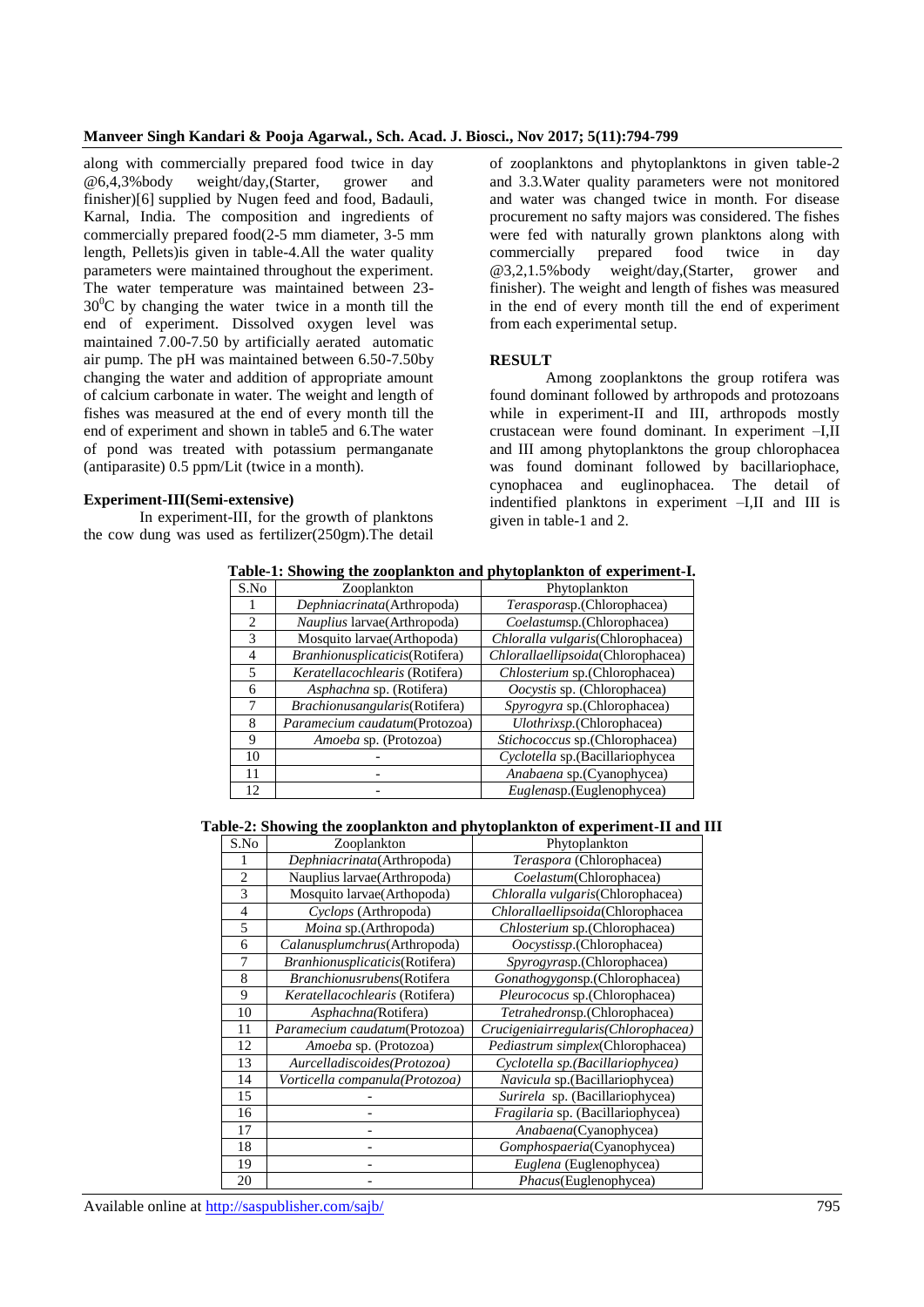## **Manveer Singh Kandari & Pooja Agarwal***.***, Sch. Acad. J. Biosci., Nov 2017; 5(11):794-799**

along with commercially prepared food twice in day @6,4,3%body weight/day,(Starter, grower and finisher)[6] supplied by Nugen feed and food, Badauli, Karnal, India. The composition and ingredients of commercially prepared food(2-5 mm diameter, 3-5 mm length, Pellets)is given in table-4.All the water quality parameters were maintained throughout the experiment. The water temperature was maintained between 23-  $30^{\circ}$ C by changing the water twice in a month till the end of experiment. Dissolved oxygen level was maintained 7.00-7.50 by artificially aerated automatic air pump. The pH was maintained between 6.50-7.50by changing the water and addition of appropriate amount of calcium carbonate in water. The weight and length of fishes was measured at the end of every month till the end of experiment and shown in table5 and 6.The water of pond was treated with potassium permanganate (antiparasite) 0.5 ppm/Lit (twice in a month).

#### **Experiment-III(Semi-extensive)**

In experiment-III, for the growth of planktons the cow dung was used as fertilizer(250gm).The detail of zooplanktons and phytoplanktons in given table-2 and 3.3.Water quality parameters were not monitored and water was changed twice in month. For disease procurement no safty majors was considered. The fishes were fed with naturally grown planktons along with commercially prepared food twice in day @3,2,1.5%body weight/day,(Starter, grower and finisher). The weight and length of fishes was measured in the end of every month till the end of experiment from each experimental setup.

#### **RESULT**

Among zooplanktons the group rotifera was found dominant followed by arthropods and protozoans while in experiment-II and III, arthropods mostly crustacean were found dominant. In experiment –I,II and III among phytoplanktons the group chlorophacea was found dominant followed by bacillariophace, cynophacea and euglinophacea. The detail of indentified planktons in experiment –I,II and III is given in table-1 and 2.

| S.No           | Zooplankton                    | Phytoplankton                     |
|----------------|--------------------------------|-----------------------------------|
|                | Dephniacrinata(Arthropoda)     | Terasporasp.(Chlorophacea)        |
| $\mathfrak{D}$ | Nauplius larvae(Arthropoda)    | Coelastumsp.(Chlorophacea)        |
| 3              | Mosquito larvae(Arthopoda)     | Chloralla vulgaris(Chlorophacea)  |
| 4              | Branhionusplicaticis(Rotifera) | Chlorallaellipsoida(Chlorophacea) |
| 5              | Keratellacochlearis (Rotifera) | Chlosterium sp.(Chlorophacea)     |
| 6              | Asphachna sp. (Rotifera)       | Oocystis sp. (Chlorophacea)       |
|                | Brachionusangularis(Rotifera)  | Spyrogyra sp.(Chlorophacea)       |
| 8              | Paramecium caudatum(Protozoa)  | Ulothrixsp.(Chlorophacea)         |
| 9              | Amoeba sp. (Protozoa)          | Stichococcus sp.(Chlorophacea)    |
| 10             |                                | Cyclotella sp.(Bacillariophycea   |
| 11             |                                | Anabaena sp.(Cyanophycea)         |
| 12             |                                | Euglenasp.(Euglenophycea)         |

**Table-1: Showing the zooplankton and phytoplankton of experiment-I.**

## **Table-2: Showing the zooplankton and phytoplankton of experiment-II and III**

| S.No           | Zooplankton                    | Phytoplankton                          |
|----------------|--------------------------------|----------------------------------------|
|                | Dephniacrinata(Arthropoda)     | Teraspora (Chlorophacea)               |
| $\overline{2}$ | Nauplius larvae (Arthropoda)   | Coelastum(Chlorophacea)                |
| 3              | Mosquito larvae(Arthopoda)     | Chloralla vulgaris (Chlorophacea)      |
| $\overline{4}$ | Cyclops (Arthropoda)           | Chlorallaellipsoida(Chlorophacea       |
| 5              | <i>Moina</i> sp.(Arthropoda)   | Chlosterium sp.(Chlorophacea)          |
| 6              | Calanusplumchrus(Arthropoda)   | Oocystissp.(Chlorophacea)              |
| 7              | Branhionusplicaticis(Rotifera) | Spyrogyrasp.(Chlorophacea)             |
| 8              | Branchionusrubens(Rotifera     | Gonathogygonsp.(Chlorophacea)          |
| 9              | Keratellacochlearis (Rotifera) | Pleurococus sp.(Chlorophacea)          |
| 10             | Asphachna(Rotifera)            | Tetrahedronsp.(Chlorophacea)           |
| 11             | Paramecium caudatum(Protozoa)  | Crucigeniairregularis (Chlorophacea)   |
| 12             | Amoeba sp. (Protozoa)          | Pediastrum simplex(Chlorophacea)       |
| 13             | Aurcelladiscoides(Protozoa)    | Cyclotella sp.(Bacillariophycea)       |
| 14             | Vorticella companula(Protozoa) | <i>Navicula</i> sp. (Bacillariophycea) |
| 15             |                                | Surirela sp. (Bacillariophycea)        |
| 16             |                                | Fragilaria sp. (Bacillariophycea)      |
| 17             |                                | Anabaena(Cyanophycea)                  |
| 18             |                                | Gomphospaeria(Cyanophycea)             |
| 19             |                                | Euglena (Euglenophycea)                |
| 20             |                                | Phacus(Euglenophycea)                  |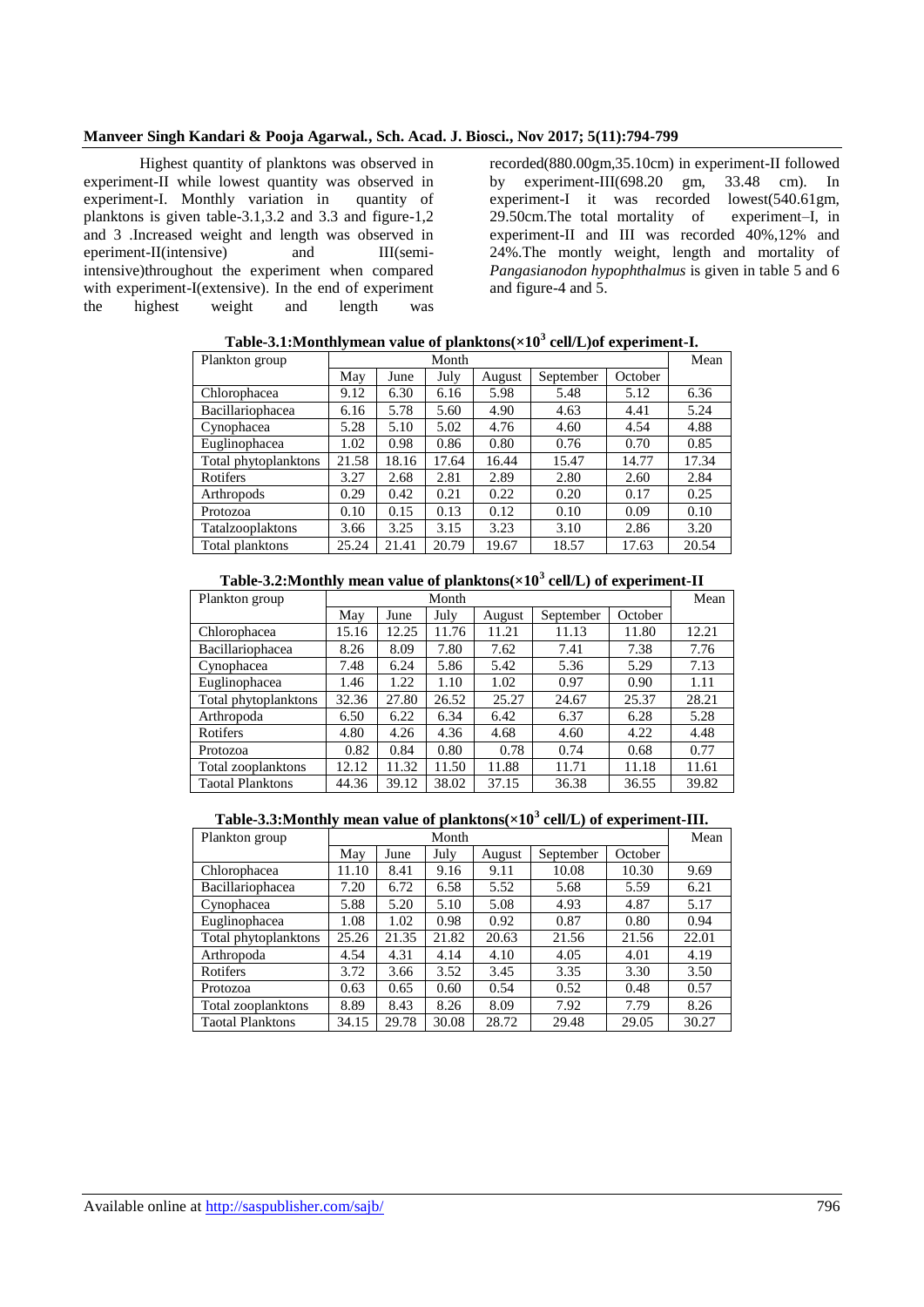#### **Manveer Singh Kandari & Pooja Agarwal***.***, Sch. Acad. J. Biosci., Nov 2017; 5(11):794-799**

Highest quantity of planktons was observed in experiment-II while lowest quantity was observed in experiment-I. Monthly variation in quantity of planktons is given table-3.1,3.2 and 3.3 and figure-1,2 and 3 .Increased weight and length was observed in eperiment-II(intensive) and III(semiintensive)throughout the experiment when compared with experiment-I(extensive). In the end of experiment the highest weight and length was

recorded(880.00gm,35.10cm) in experiment-II followed by experiment-III(698.20 gm, 33.48 cm). In experiment-I it was recorded lowest(540.61gm, 29.50cm.The total mortality of experiment–I, in experiment-II and III was recorded 40%,12% and 24%.The montly weight, length and mortality of *Pangasianodon hypophthalmus* is given in table 5 and 6 and figure-4 and 5.

| Plankton group       |       | Month |       |        |           |         |       |
|----------------------|-------|-------|-------|--------|-----------|---------|-------|
|                      | May   | June  | July  | August | September | October |       |
| Chlorophacea         | 9.12  | 6.30  | 6.16  | 5.98   | 5.48      | 5.12    | 6.36  |
| Bacillariophacea     | 6.16  | 5.78  | 5.60  | 4.90   | 4.63      | 4.41    | 5.24  |
| Cynophacea           | 5.28  | 5.10  | 5.02  | 4.76   | 4.60      | 4.54    | 4.88  |
| Euglinophacea        | 1.02  | 0.98  | 0.86  | 0.80   | 0.76      | 0.70    | 0.85  |
| Total phytoplanktons | 21.58 | 18.16 | 17.64 | 16.44  | 15.47     | 14.77   | 17.34 |
| Rotifers             | 3.27  | 2.68  | 2.81  | 2.89   | 2.80      | 2.60    | 2.84  |
| Arthropods           | 0.29  | 0.42  | 0.21  | 0.22   | 0.20      | 0.17    | 0.25  |
| Protozoa             | 0.10  | 0.15  | 0.13  | 0.12   | 0.10      | 0.09    | 0.10  |
| Tatalzooplaktons     | 3.66  | 3.25  | 3.15  | 3.23   | 3.10      | 2.86    | 3.20  |
| Total planktons      | 25.24 | 21.41 | 20.79 | 19.67  | 18.57     | 17.63   | 20.54 |

**Table-3.1:Monthlymean value of planktons(×10<sup>3</sup> cell/L)of experiment-I.**

## **Table-3.2:Monthly mean value of planktons(×10<sup>3</sup> cell/L) of experiment-II**

| Plankton group          |       | Month |       |        |           |         | Mean  |
|-------------------------|-------|-------|-------|--------|-----------|---------|-------|
|                         | May   | June  | July  | August | September | October |       |
| Chlorophacea            | 15.16 | 12.25 | 11.76 | 11.21  | 11.13     | 11.80   | 12.21 |
| Bacillariophacea        | 8.26  | 8.09  | 7.80  | 7.62   | 7.41      | 7.38    | 7.76  |
| Cynophacea              | 7.48  | 6.24  | 5.86  | 5.42   | 5.36      | 5.29    | 7.13  |
| Euglinophacea           | 1.46  | 1.22  | 1.10  | 1.02   | 0.97      | 0.90    | 1.11  |
| Total phytoplanktons    | 32.36 | 27.80 | 26.52 | 25.27  | 24.67     | 25.37   | 28.21 |
| Arthropoda              | 6.50  | 6.22  | 6.34  | 6.42   | 6.37      | 6.28    | 5.28  |
| Rotifers                | 4.80  | 4.26  | 4.36  | 4.68   | 4.60      | 4.22    | 4.48  |
| Protozoa                | 0.82  | 0.84  | 0.80  | 0.78   | 0.74      | 0.68    | 0.77  |
| Total zooplanktons      | 12.12 | 11.32 | 11.50 | 11.88  | 11.71     | 11.18   | 11.61 |
| <b>Taotal Planktons</b> | 44.36 | 39.12 | 38.02 | 37.15  | 36.38     | 36.55   | 39.82 |

#### **Table-3.3:Monthly mean value of planktons(×10<sup>3</sup> cell/L) of experiment-III.**

| Plankton group          |       | Month |       |        |           |         | Mean  |
|-------------------------|-------|-------|-------|--------|-----------|---------|-------|
|                         | May   | June  | July  | August | September | October |       |
| Chlorophacea            | 11.10 | 8.41  | 9.16  | 9.11   | 10.08     | 10.30   | 9.69  |
| Bacillariophacea        | 7.20  | 6.72  | 6.58  | 5.52   | 5.68      | 5.59    | 6.21  |
| Cynophacea              | 5.88  | 5.20  | 5.10  | 5.08   | 4.93      | 4.87    | 5.17  |
| Euglinophacea           | 1.08  | 1.02  | 0.98  | 0.92   | 0.87      | 0.80    | 0.94  |
| Total phytoplanktons    | 25.26 | 21.35 | 21.82 | 20.63  | 21.56     | 21.56   | 22.01 |
| Arthropoda              | 4.54  | 4.31  | 4.14  | 4.10   | 4.05      | 4.01    | 4.19  |
| Rotifers                | 3.72  | 3.66  | 3.52  | 3.45   | 3.35      | 3.30    | 3.50  |
| Protozoa                | 0.63  | 0.65  | 0.60  | 0.54   | 0.52      | 0.48    | 0.57  |
| Total zooplanktons      | 8.89  | 8.43  | 8.26  | 8.09   | 7.92      | 7.79    | 8.26  |
| <b>Taotal Planktons</b> | 34.15 | 29.78 | 30.08 | 28.72  | 29.48     | 29.05   | 30.27 |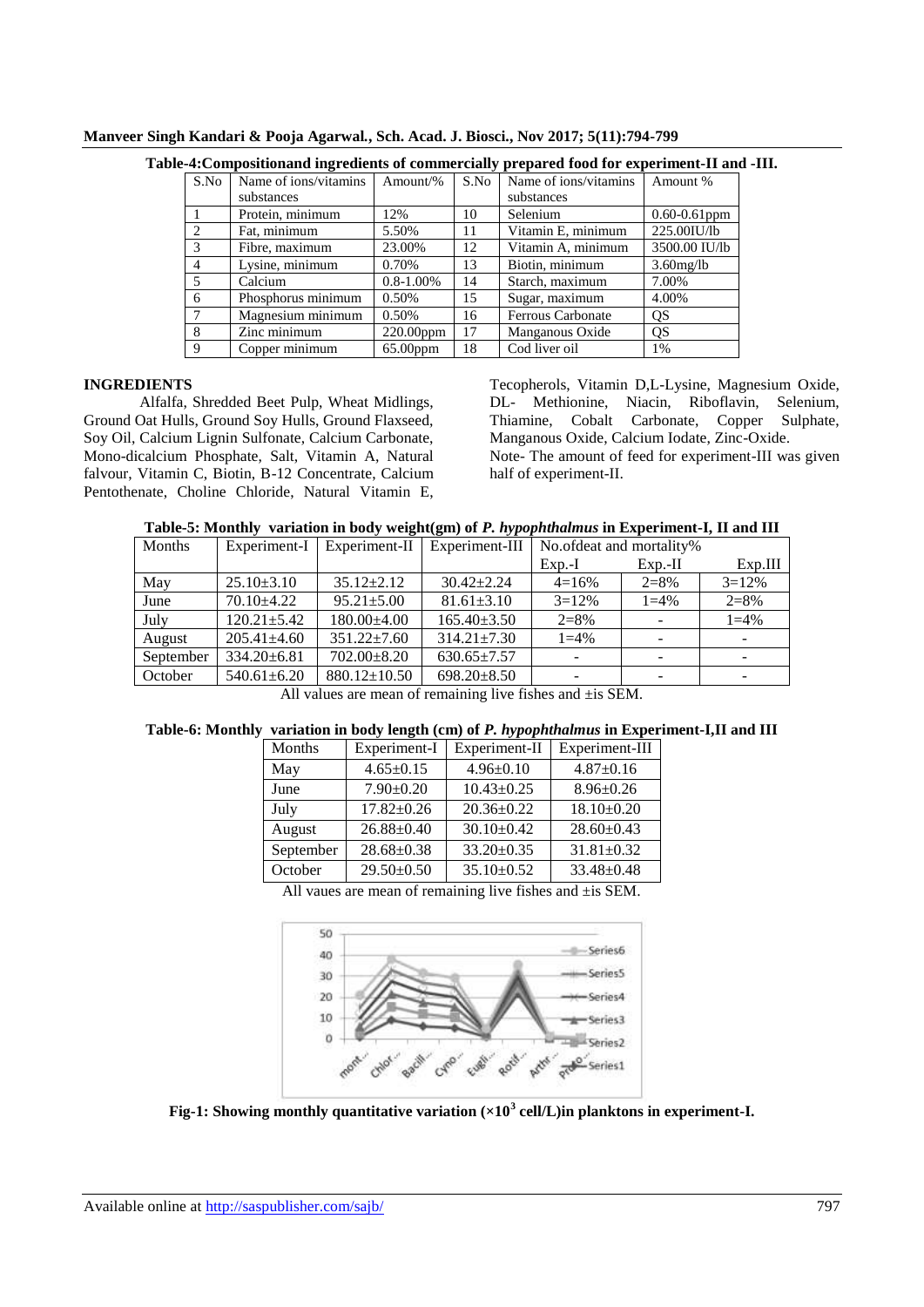| S.No           | Name of ions/vitamins<br>substances | Amount/%       | S.No | Name of ions/vitamins<br>substances | Amount %          |
|----------------|-------------------------------------|----------------|------|-------------------------------------|-------------------|
|                | Protein, minimum                    | 12%            | 10   | Selenium                            | $0.60 - 0.61$ ppm |
| 2              | Fat. minimum                        | 5.50%          | 11   | Vitamin E, minimum                  | 225.00IU/lb       |
| $\mathcal{R}$  | Fibre, maximum                      | 23.00%         | 12   | Vitamin A, minimum                  | 3500.00 IU/lb     |
| $\overline{4}$ | Lysine, minimum                     | 0.70%          | 13   | Biotin, minimum                     | $3.60$ mg/lb      |
| $\overline{5}$ | Calcium                             | $0.8 - 1.00\%$ | 14   | Starch, maximum                     | 7.00%             |
| 6              | Phosphorus minimum                  | 0.50%          | 15   | Sugar, maximum                      | 4.00%             |
|                | Magnesium minimum                   | 0.50%          | 16   | Ferrous Carbonate                   | QS                |
| 8              | Zinc minimum                        | 220.00ppm      | 17   | Manganous Oxide                     | QS                |
| $\mathbf Q$    | Copper minimum                      | $65.00$ ppm    | 18   | Cod liver oil                       | 1%                |

**Manveer Singh Kandari & Pooja Agarwal***.***, Sch. Acad. J. Biosci., Nov 2017; 5(11):794-799**

## **Table-4:Compositionand ingredients of commercially prepared food for experiment-II and -III.**

## **INGREDIENTS**

Alfalfa, Shredded Beet Pulp, Wheat Midlings, Ground Oat Hulls, Ground Soy Hulls, Ground Flaxseed, Soy Oil, Calcium Lignin Sulfonate, Calcium Carbonate, Mono-dicalcium Phosphate, Salt, Vitamin A, Natural falvour, Vitamin C, Biotin, B-12 Concentrate, Calcium Pentothenate, Choline Chloride, Natural Vitamin E, Tecopherols, Vitamin D,L-Lysine, Magnesium Oxide, DL- Methionine, Niacin, Riboflavin, Selenium, Thiamine, Cobalt Carbonate, Copper Sulphate, Manganous Oxide, Calcium Iodate, Zinc-Oxide. Note- The amount of feed for experiment-III was given half of experiment-II.

| Months                                                          | Experiment-I      | Experiment-II      | Experiment-III    | No.ofdeat and mortality% |           |           |  |  |
|-----------------------------------------------------------------|-------------------|--------------------|-------------------|--------------------------|-----------|-----------|--|--|
|                                                                 |                   |                    |                   | $Exp.-I$                 | $Exp.-II$ | Exp.III   |  |  |
| May                                                             | $25.10\pm3.10$    | $35.12 \pm 2.12$   | $30.42 \pm 2.24$  | $4=16%$                  | $2=8%$    | $3 = 12%$ |  |  |
| June                                                            | $70.10 + 4.22$    | $95.21 \pm 5.00$   | $81.61 \pm 3.10$  | $3 = 12\%$               | $1 = 4\%$ | $2 = 8\%$ |  |  |
| July                                                            | $120.21 \pm 5.42$ | 180.00±4.00        | $165.40 \pm 3.50$ | $2=8%$                   |           | $1 = 4\%$ |  |  |
| August                                                          | $205.41 \pm 4.60$ | $351.22 \pm 7.60$  | $314.21 \pm 7.30$ | $1 = 4\%$                |           |           |  |  |
| September                                                       | $334.20 \pm 6.81$ | 702.00±8.20        | $630.65 \pm 7.57$ |                          |           |           |  |  |
| October                                                         | $540.61 \pm 6.20$ | $880.12 \pm 10.50$ | $698.20 \pm 8.50$ |                          |           |           |  |  |
| $\cdots$ $\cdots$ $\cdots$<br>$1$ $\alpha$ $\alpha$<br>$\cdots$ |                   |                    |                   |                          |           |           |  |  |

All values are mean of remaining live fishes and ±is SEM.

## **Table-6: Monthly variation in body length (cm) of** *P. hypophthalmus* **in Experiment-I,II and III**

| Months    | Experiment-I     | Experiment-II    | Experiment-III   |
|-----------|------------------|------------------|------------------|
| May       | $4.65 \pm 0.15$  | $4.96 \pm 0.10$  | $4.87 \pm 0.16$  |
| June      | $7.90 \pm 0.20$  | $10.43 \pm 0.25$ | $8.96 \pm 0.26$  |
| July      | $17.82 \pm 0.26$ | $20.36 \pm 0.22$ | $18.10\pm0.20$   |
| August    | $26.88 \pm 0.40$ | $30.10 \pm 0.42$ | $28.60 \pm 0.43$ |
| September | $28.68 \pm 0.38$ | 33.20±0.35       | $31.81 \pm 0.32$ |
| October   | 29.50±0.50       | $35.10 \pm 0.52$ | 33.48±0.48       |

All vaues are mean of remaining live fishes and  $\pm$ is SEM.



**Fig-1: Showing monthly quantitative variation (×10<sup>3</sup> cell/L)in planktons in experiment-I.**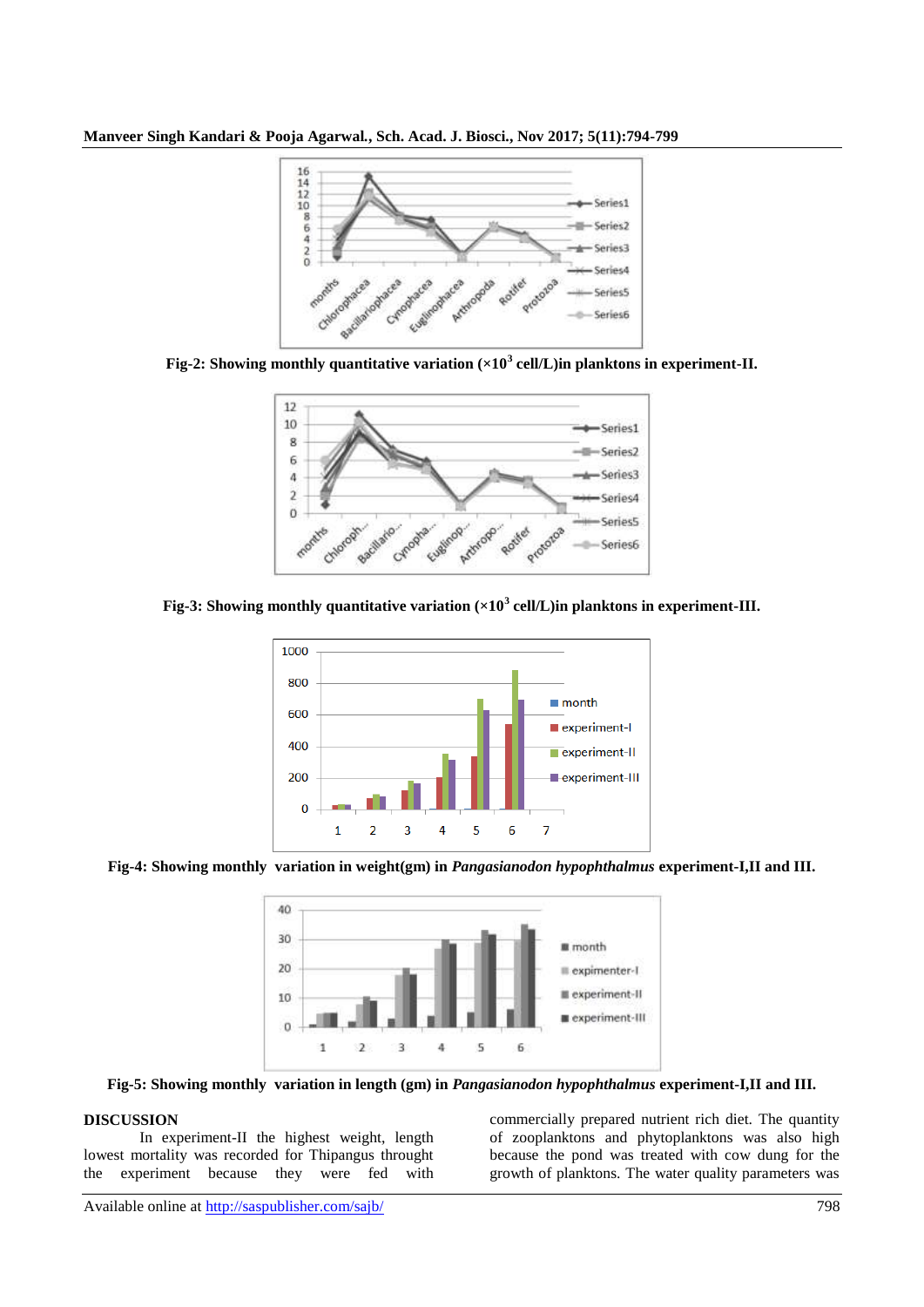**Manveer Singh Kandari & Pooja Agarwal***.***, Sch. Acad. J. Biosci., Nov 2017; 5(11):794-799**



**Fig-2: Showing monthly quantitative variation (×10<sup>3</sup> cell/L)in planktons in experiment-II.**



**Fig-3: Showing monthly quantitative variation (×10<sup>3</sup> cell/L)in planktons in experiment-III.**



**Fig-4: Showing monthly variation in weight(gm) in** *Pangasianodon hypophthalmus* **experiment-I,II and III.**



**Fig-5: Showing monthly variation in length (gm) in** *Pangasianodon hypophthalmus* **experiment-I,II and III.**

## **DISCUSSION**

In experiment-II the highest weight, length lowest mortality was recorded for Thipangus throught the experiment because they were fed with

commercially prepared nutrient rich diet. The quantity of zooplanktons and phytoplanktons was also high because the pond was treated with cow dung for the growth of planktons. The water quality parameters was